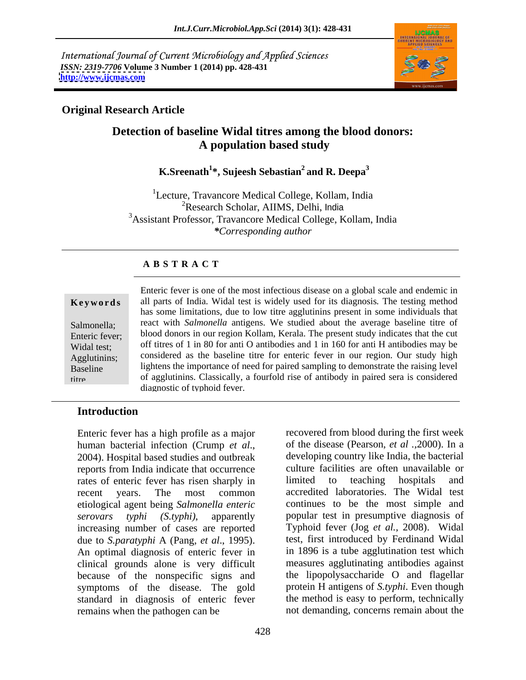International Journal of Current Microbiology and Applied Sciences *ISSN: 2319-7706* **Volume 3 Number 1 (2014) pp. 428-431 <http://www.ijcmas.com>**



### **Original Research Article**

# **Detection of baseline Widal titres among the blood donors: A population based study**

## **K.Sreenath1 \*, Sujeesh Sebastian2 and R. Deepa3**

<sup>1</sup>Lecture, Travancore Medical College, Kollam, India <sup>2</sup>Research Scholar, AIIMS, Delhi, India 3Assistant Professor, Travancore Medical College, Kollam, India *\*Corresponding author* 

### **A B S T R A C T**

**Ke ywo rds** all parts of India. Widal test is widely used for its diagnosis*.* The testing method Salmonella; react with *Salmonella* antigens. We studied about the average baseline titre of Enteric fever; blood donors in our region Kollam, Kerala. The present study indicates that the cut Widal test; of f titres of 1 in 80 for anti O antibodies and 1 in 160 for anti H antibodies may be Agglutinins; considered as the baseline titre for enteric fever in our region. Our study high Baseline lightens the importance of need for paired sampling to demonstrate the raising level titre. of agglutinins. Classically, a fourfold rise of antibody in paired sera is considered Enteric fever is one of the most infectious disease on a global scale and endemic in has some limitations, due to low titre agglutinins present in some individuals that diagnostic of typhoid fever.

### **Introduction**

Enteric fever has a high profile as a major human bacterial infection (Crump *et al*., 2004). Hospital based studies and outbreak reports from India indicate that occurrence<br>
rates of enteric fever has risen sharply in limited to teaching hospitals rates of enteric fever has risen sharply in limited to teaching hospitals and recent years. The most common accredited laboratories. The Widal test etiological agent being *Salmonella enteric serovars typhi (S.typhi)*, apparently popular test in presumptive diagnosis of increasing number of cases are reported due to *S.paratyphi* A (Pang, *et al*., 1995). An optimal diagnosis of enteric fever in clinical grounds alone is very difficult because of the nonspecific signs and symptoms of the disease. The gold standard in diagnosis of enteric fever remains when the pathogen can be not demanding, concerns remain about the

recovered from blood during the first week of the disease (Pearson, *et al .,*2000). In a developing country like India, the bacterial culture facilities are often unavailable or limited to teaching hospitals and continues to be the most simple and Typhoid fever (Jog et al., 2008). Widal test, first introduced by Ferdinand Widal in 1896 is a tube agglutination test which measures agglutinating antibodies against the lipopolysaccharide O and flagellar protein H antigens of *S.typhi*. Even though the method is easy to perform, technically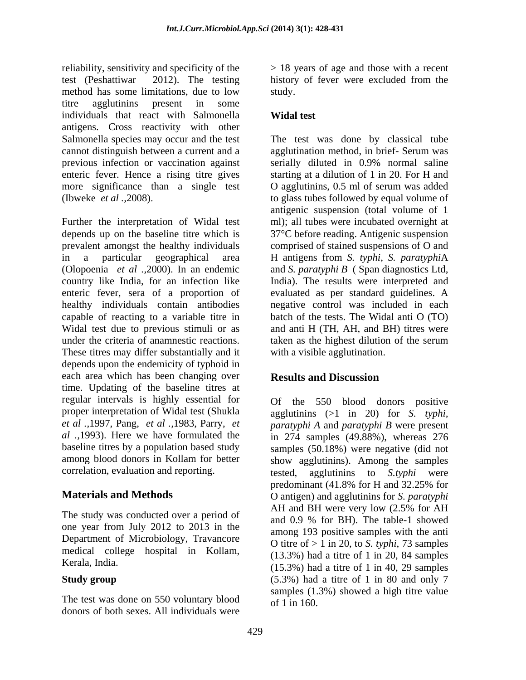reliability, sensitivity and specificity of the test (Peshattiwar 2012). The testing history of fever were excluded from the method has some limitations, due to low study. titre agglutinins present in some individuals that react with Salmonella **Widal test** antigens. Cross reactivity with other Salmonella species may occur and the test The test was done by classical tube cannot distinguish between a current and a agglutination method, in brief- Serum was previous infection or vaccination against enteric fever. Hence a rising titre gives starting at a dilution of 1 in 20. For H and more significance than a single test O agglutinins, 0.5 ml of serum was added (Ibweke *et al .,*2008). to glass tubes followed by equal volume of

Further the interpretation of Widal test depends up on the baseline titre which is 37°C before reading. Antigenic suspension prevalent amongst the healthy individuals comprised of stained suspensions of O and in a particular geographical area H antigens from *S. typhi*, *S. paratyphi*A (Olopoenia *et al .,*2000).In an endemic and *S. paratyphi B* ( Span diagnostics Ltd, country like India, for an infection like India). The results were interpreted and enteric fever, sera of a proportion of evaluated as per standard guidelines. A healthy individuals contain antibodies negative controlwas included in each capable of reacting to a variable titre in batch of the tests. The Widal anti O (TO) Widal test due to previous stimuli or as under the criteria of anamnestic reactions. <br>taken as the highest dilution of the serum These titres may differ substantially and it depends upon the endemicity of typhoid in each area which has been changing over **Results and Discussion** time. Updating of the baseline titres at regular intervals is highly essential for proper interpretation of Widal test (Shukla agglutinins (>1 in 20) for *S. typhi, et al .,*1997, Pang, *et al .,*1983, Parry, *et paratyphi A* and *paratyphi B* were present *al .,*1993). Here we have formulated the in 274 samples (49.88%), whereas 276 baseline titres by a population based study samples (50.18%) were negative (did not among blood donors in Kollam for better show agglutinins). Among the samples

one year from July 2012 to 2013 in the Department of Microbiology, Travancore medical college hospital in Kollam,

The test was done on 550 voluntary blood donors of both sexes. All individuals were

> 18 years of age and those with a recent study.

## **Widal test**

serially diluted in 0.9% normal saline antigenic suspension (total volume of 1 ml); all tubes were incubated overnight at and anti H (TH, AH, and BH) titres were taken as the highest dilution of the serum with a visible agglutination.

### **Results and Discussion**

correlation, evaluation and reporting. the ested, agglutining to S.typhi were **Materials and Methods** O antigen) and agglutinins for *S. paratyphi*  The study was conducted over a period of AH and BH were very low (2.5% for AH Kerala, India.  $(15.3\%)$  had a titre of 1 in 20, 01 samples  $(15.3\%)$  had a titre of 1 in 40, 29 samples **Study group** (5.3%) had a titre of 1 in 80 and only 7 Of the 550 blood donors positive tested, agglutinins to *S.typhi* were predominant (41.8% for H and 32.25% for AH and BH were very low (2.5% for AH and 0.9 % for BH). The table-1 showed among 193 positive samples with the anti O titre of > 1 in 20, to *S. typhi*, 73 samples (13.3%) had a titre of 1 in 20, 84 samples samples (1.3%) showed a high titre value of 1 in 160.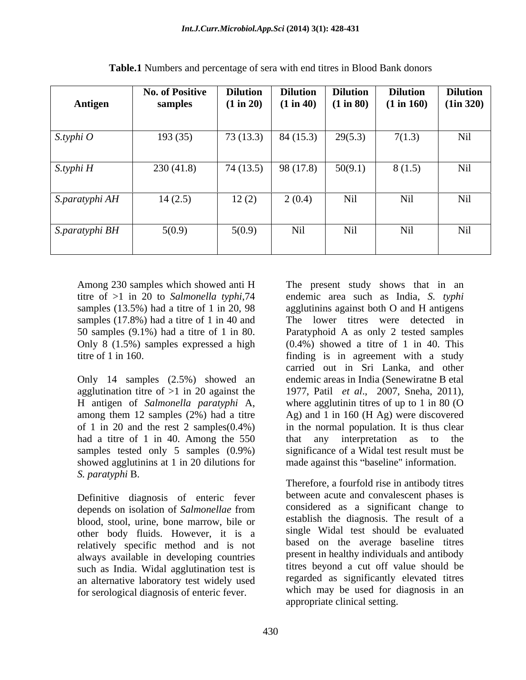| Antigen        | <b>No. of Positive</b><br>samples | <b>Dilution</b><br>(1 in 20) | <b>Dilution</b><br>(1 in 40) | <b>Dilution</b><br>(1 in 80) | <b>Dilution</b><br>(1 in 160) | <b>Dilution</b><br>(1in 320) |
|----------------|-----------------------------------|------------------------------|------------------------------|------------------------------|-------------------------------|------------------------------|
| $S.typhi$ O    | 193(35)                           | 73(13.3)                     | 84(15.3)                     | 29(5.3)                      | 7(1.3)                        | Nil                          |
| S.typhi H      | 230(41.8)                         | 74(13.5)                     | 98 (17.8)                    | 50(9.1)                      | 8(1.5)                        | Nil                          |
| S.paratyphi AH | 14(2.5)                           | 12(2)                        | 2(0.4)                       | Nil                          | Nil                           | Nil                          |
| S.paratyphi BH | 5(0.9)                            | 5(0.9)                       | Nil                          | Nil                          | Nil                           | Nil                          |

**Table.1** Numbers and percentage of sera with end titres in Blood Bank donors

Only 8 (1.5%) samples expressed a high

Only 14 samples (2.5%) showed an agglutination titre of  $>1$  in 20 against the 1977, Patil *et al.*, 2007, Sneha, 2011), H antigen of *Salmonella paratyphi* A, had a titre of 1 in 40. Among the 550 that any interpretation as to the samples tested only 5 samples  $(0.9\%)$ showed agglutinins at 1 in 20 dilutions for made against this "baseline" information. *S. paratyphi* B.

Definitive diagnosis of enteric fever blood, stool, urine, bone marrow, bile or other body fluids. However, it is a relatively specific method and is not always available in developing countries such as India. Widal agglutination test is an alternative laboratory test widely used for serological diagnosis of enteric fever.

Among 230 samples which showed anti H The present study shows that in an titre of >1 in 20 to *Salmonella typhi*,74 endemic area such as India, *S. typhi* samples (13.5%) had a titre of 1 in 20, 98 agglutinins against both O and H antigens samples (17.8%) had a titre of 1 in 40 and The lower titres were detected in 50 samples (9.1%) had a titre of 1 in 80. Paratyphoid A as only 2 tested samples titre of 1 in 160. finding is in agreement with a study among them 12 samples (2%) had a titre Ag) and 1 in 160 (H Ag) were discovered of 1 in 20 and the rest 2 samples(0.4%) in the normal population. It is thus clear (0.4%) showed a titre of 1 in 40. This carried out in Sri Lanka, and other endemic areas in India (Senewiratne B etal 1977, Patil *et al*., 2007, Sneha, 2011), where agglutinin titres of up to <sup>1</sup> in <sup>80</sup> (O that any interpretation as to the significance of a Widal test result must be

depends on isolation of *Salmonellae* from Therefore, a fourfold rise in antibody titres between acute and convalescent phases is considered as a significant change to establish the diagnosis. The result of a single Widal test should be evaluated based on the average baseline titres present in healthy individuals and antibody titres beyond a cut off value should be regarded as significantly elevated titres which may be used for diagnosis in an appropriate clinical setting.